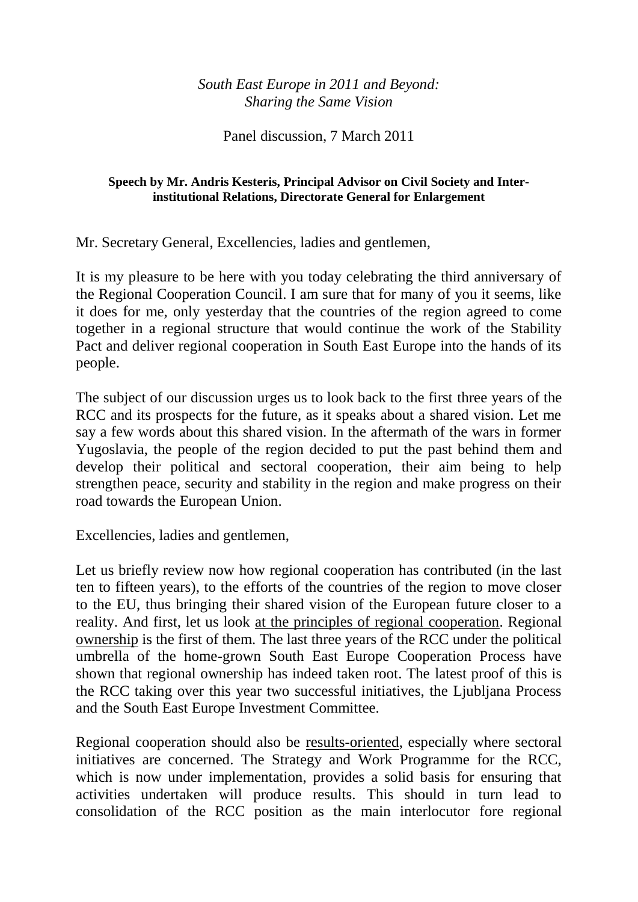## *South East Europe in 2011 and Beyond: Sharing the Same Vision*

## Panel discussion, 7 March 2011

## **Speech by Mr. Andris Kesteris, Principal Advisor on Civil Society and Interinstitutional Relations, Directorate General for Enlargement**

Mr. Secretary General, Excellencies, ladies and gentlemen,

It is my pleasure to be here with you today celebrating the third anniversary of the Regional Cooperation Council. I am sure that for many of you it seems, like it does for me, only yesterday that the countries of the region agreed to come together in a regional structure that would continue the work of the Stability Pact and deliver regional cooperation in South East Europe into the hands of its people.

The subject of our discussion urges us to look back to the first three years of the RCC and its prospects for the future, as it speaks about a shared vision. Let me say a few words about this shared vision. In the aftermath of the wars in former Yugoslavia, the people of the region decided to put the past behind them and develop their political and sectoral cooperation, their aim being to help strengthen peace, security and stability in the region and make progress on their road towards the European Union.

Excellencies, ladies and gentlemen,

Let us briefly review now how regional cooperation has contributed (in the last ten to fifteen years), to the efforts of the countries of the region to move closer to the EU, thus bringing their shared vision of the European future closer to a reality. And first, let us look at the principles of regional cooperation. Regional ownership is the first of them. The last three years of the RCC under the political umbrella of the home-grown South East Europe Cooperation Process have shown that regional ownership has indeed taken root. The latest proof of this is the RCC taking over this year two successful initiatives, the Ljubljana Process and the South East Europe Investment Committee.

Regional cooperation should also be results-oriented, especially where sectoral initiatives are concerned. The Strategy and Work Programme for the RCC, which is now under implementation, provides a solid basis for ensuring that activities undertaken will produce results. This should in turn lead to consolidation of the RCC position as the main interlocutor fore regional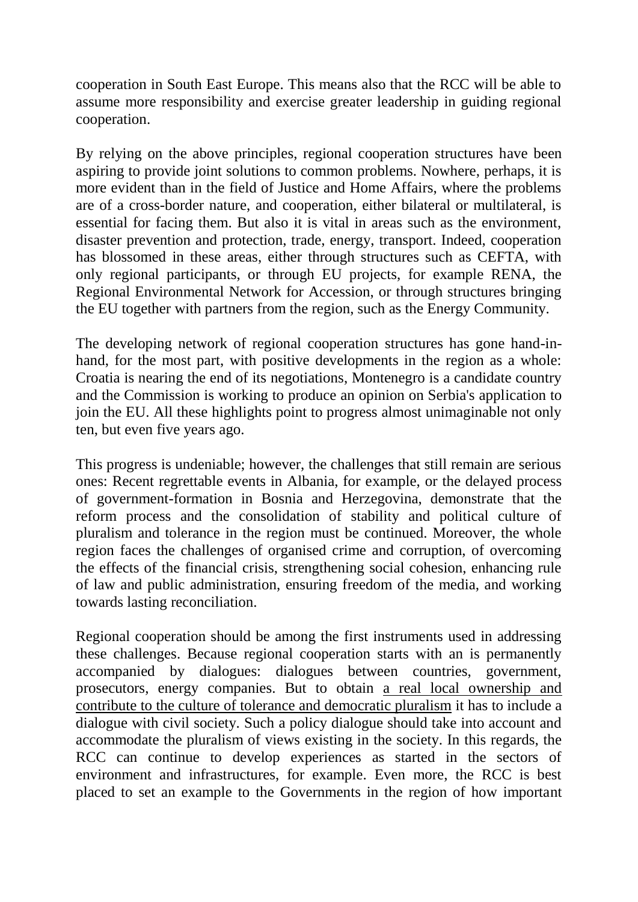cooperation in South East Europe. This means also that the RCC will be able to assume more responsibility and exercise greater leadership in guiding regional cooperation.

By relying on the above principles, regional cooperation structures have been aspiring to provide joint solutions to common problems. Nowhere, perhaps, it is more evident than in the field of Justice and Home Affairs, where the problems are of a cross-border nature, and cooperation, either bilateral or multilateral, is essential for facing them. But also it is vital in areas such as the environment, disaster prevention and protection, trade, energy, transport. Indeed, cooperation has blossomed in these areas, either through structures such as CEFTA, with only regional participants, or through EU projects, for example RENA, the Regional Environmental Network for Accession, or through structures bringing the EU together with partners from the region, such as the Energy Community.

The developing network of regional cooperation structures has gone hand-inhand, for the most part, with positive developments in the region as a whole: Croatia is nearing the end of its negotiations, Montenegro is a candidate country and the Commission is working to produce an opinion on Serbia's application to join the EU. All these highlights point to progress almost unimaginable not only ten, but even five years ago.

This progress is undeniable; however, the challenges that still remain are serious ones: Recent regrettable events in Albania, for example, or the delayed process of government-formation in Bosnia and Herzegovina, demonstrate that the reform process and the consolidation of stability and political culture of pluralism and tolerance in the region must be continued. Moreover, the whole region faces the challenges of organised crime and corruption, of overcoming the effects of the financial crisis, strengthening social cohesion, enhancing rule of law and public administration, ensuring freedom of the media, and working towards lasting reconciliation.

Regional cooperation should be among the first instruments used in addressing these challenges. Because regional cooperation starts with an is permanently accompanied by dialogues: dialogues between countries, government, prosecutors, energy companies. But to obtain a real local ownership and contribute to the culture of tolerance and democratic pluralism it has to include a dialogue with civil society. Such a policy dialogue should take into account and accommodate the pluralism of views existing in the society. In this regards, the RCC can continue to develop experiences as started in the sectors of environment and infrastructures, for example. Even more, the RCC is best placed to set an example to the Governments in the region of how important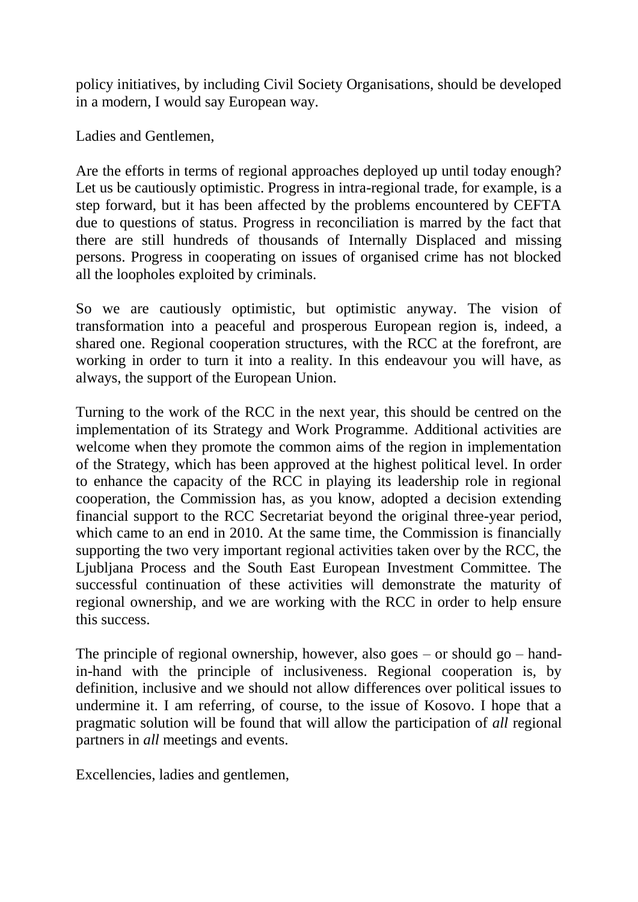policy initiatives, by including Civil Society Organisations, should be developed in a modern, I would say European way.

Ladies and Gentlemen,

Are the efforts in terms of regional approaches deployed up until today enough? Let us be cautiously optimistic. Progress in intra-regional trade, for example, is a step forward, but it has been affected by the problems encountered by CEFTA due to questions of status. Progress in reconciliation is marred by the fact that there are still hundreds of thousands of Internally Displaced and missing persons. Progress in cooperating on issues of organised crime has not blocked all the loopholes exploited by criminals.

So we are cautiously optimistic, but optimistic anyway. The vision of transformation into a peaceful and prosperous European region is, indeed, a shared one. Regional cooperation structures, with the RCC at the forefront, are working in order to turn it into a reality. In this endeavour you will have, as always, the support of the European Union.

Turning to the work of the RCC in the next year, this should be centred on the implementation of its Strategy and Work Programme. Additional activities are welcome when they promote the common aims of the region in implementation of the Strategy, which has been approved at the highest political level. In order to enhance the capacity of the RCC in playing its leadership role in regional cooperation, the Commission has, as you know, adopted a decision extending financial support to the RCC Secretariat beyond the original three-year period, which came to an end in 2010. At the same time, the Commission is financially supporting the two very important regional activities taken over by the RCC, the Ljubljana Process and the South East European Investment Committee. The successful continuation of these activities will demonstrate the maturity of regional ownership, and we are working with the RCC in order to help ensure this success.

The principle of regional ownership, however, also goes – or should go – handin-hand with the principle of inclusiveness. Regional cooperation is, by definition, inclusive and we should not allow differences over political issues to undermine it. I am referring, of course, to the issue of Kosovo. I hope that a pragmatic solution will be found that will allow the participation of *all* regional partners in *all* meetings and events.

Excellencies, ladies and gentlemen,